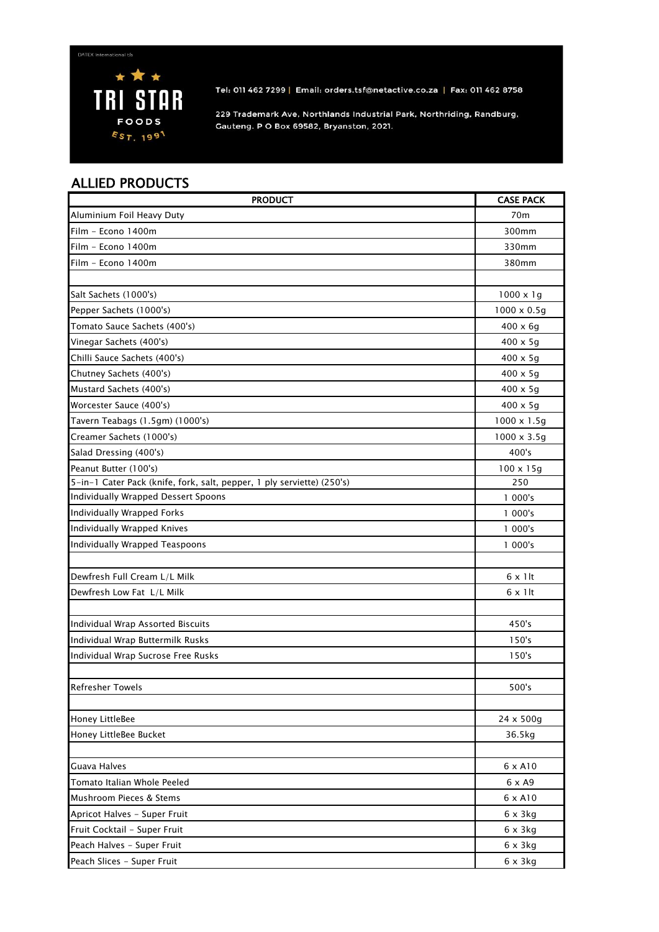

Tel: 011 462 7299 | Email: orders.tsf@netactive.co.za | Fax: 011 462 8758

229 Trademark Ave, Northlands Industrial Park, Northriding, Randburg, Gauteng. P O Box 69582, Bryanston, 2021.

## ALLIED PRODUCTS

| <b>PRODUCT</b>                                                         | <b>CASE PACK</b>   |
|------------------------------------------------------------------------|--------------------|
| Aluminium Foil Heavy Duty                                              | 70m                |
| Film - Econo 1400m                                                     | 300mm              |
| Film – Econo 1400m                                                     | 330mm              |
| Film - Econo 1400m                                                     | 380mm              |
|                                                                        |                    |
| Salt Sachets (1000's)                                                  | $1000 \times 19$   |
| Pepper Sachets (1000's)                                                | $1000 \times 0.5q$ |
| Tomato Sauce Sachets (400's)                                           | $400 \times 6g$    |
| Vinegar Sachets (400's)                                                | $400 \times 5g$    |
| Chilli Sauce Sachets (400's)                                           | $400 \times 5g$    |
| Chutney Sachets (400's)                                                | $400 \times 5q$    |
| Mustard Sachets (400's)                                                | $400 \times 5g$    |
| Worcester Sauce (400's)                                                | $400 \times 5g$    |
| Tavern Teabags (1.5gm) (1000's)                                        | $1000 \times 1.5g$ |
| Creamer Sachets (1000's)                                               | 1000 x 3.5g        |
| Salad Dressing (400's)                                                 | 400's              |
| Peanut Butter (100's)                                                  | $100 \times 15g$   |
| 5-in-1 Cater Pack (knife, fork, salt, pepper, 1 ply serviette) (250's) | 250                |
| Individually Wrapped Dessert Spoons                                    | 1 000's            |
| Individually Wrapped Forks                                             | 1 000's            |
| Individually Wrapped Knives                                            | 1 000's            |
| Individually Wrapped Teaspoons                                         | 1 000's            |
|                                                                        |                    |
| Dewfresh Full Cream L/L Milk                                           | $6 \times 1$ lt    |
| Dewfresh Low Fat L/L Milk                                              | $6 \times 1$ lt    |
|                                                                        |                    |
| Individual Wrap Assorted Biscuits                                      | 450's              |
| Individual Wrap Buttermilk Rusks                                       | 150's              |
| Individual Wrap Sucrose Free Rusks                                     | 150's              |
|                                                                        |                    |
| <b>Refresher Towels</b>                                                | 500's              |
|                                                                        |                    |
| Honey LittleBee                                                        | 24 x 500g          |
| Honey LittleBee Bucket                                                 | 36.5kg             |
|                                                                        |                    |
| Guava Halves                                                           | 6 x A10            |
| Tomato Italian Whole Peeled                                            | 6 x A9             |
| Mushroom Pieces & Stems                                                | 6 x A10            |
| Apricot Halves - Super Fruit                                           | $6 \times 3$ kg    |
| Fruit Cocktail - Super Fruit                                           | $6 \times 3$ kg    |
| Peach Halves - Super Fruit                                             | $6 \times 3$ kg    |
| Peach Slices - Super Fruit                                             | $6 \times 3$ kg    |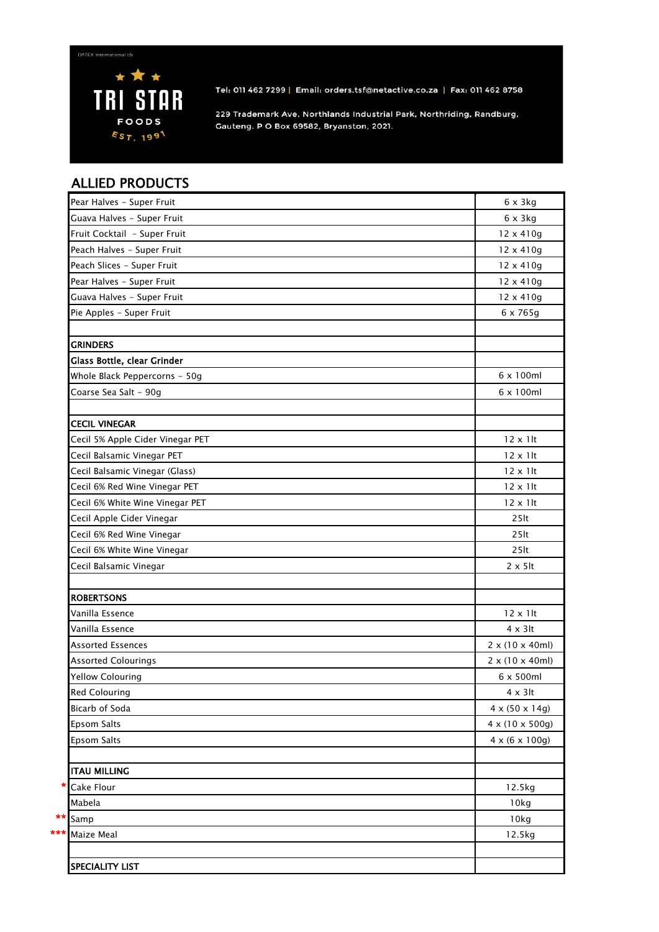

Tel: 011 462 7299 | Email: orders.tsf@netactive.co.za | Fax: 011 462 8758

229 Trademark Ave, Northlands Industrial Park, Northriding, Randburg, Gauteng. P O Box 69582, Bryanston, 2021.

## ALLIED PRODUCTS

| Pear Halves - Super Fruit        | $6 \times 3$ kg              |
|----------------------------------|------------------------------|
| Guava Halves - Super Fruit       | $6 \times 3$ kg              |
| Fruit Cocktail - Super Fruit     | 12 x 410g                    |
| Peach Halves - Super Fruit       | 12 x 410g                    |
| Peach Slices - Super Fruit       | 12 x 410g                    |
| Pear Halves - Super Fruit        | 12 x 410g                    |
| Guava Halves - Super Fruit       | 12 x 410g                    |
| Pie Apples - Super Fruit         | 6 x 765g                     |
|                                  |                              |
| <b>GRINDERS</b>                  |                              |
| Glass Bottle, clear Grinder      |                              |
| Whole Black Peppercorns - 50g    | 6 x 100ml                    |
| Coarse Sea Salt - 90g            | 6 x 100ml                    |
|                                  |                              |
| <b>CECIL VINEGAR</b>             |                              |
| Cecil 5% Apple Cider Vinegar PET | $12 \times 1$ lt             |
| Cecil Balsamic Vinegar PET       | $12 \times 1$ lt             |
| Cecil Balsamic Vinegar (Glass)   | $12 \times 1$ lt             |
| Cecil 6% Red Wine Vinegar PET    | $12 \times 1$ lt             |
| Cecil 6% White Wine Vinegar PET  | $12 \times 1$ lt             |
| Cecil Apple Cider Vinegar        | 25 <sub>lt</sub>             |
| Cecil 6% Red Wine Vinegar        | 25 <sub>lt</sub>             |
| Cecil 6% White Wine Vinegar      | 25 <sub>lt</sub>             |
| Cecil Balsamic Vinegar           | $2 \times 5$ lt              |
|                                  |                              |
| <b>ROBERTSONS</b>                |                              |
| Vanilla Essence                  | $12 \times 1$ lt             |
| Vanilla Essence                  | $4 \times 3$ lt              |
| <b>Assorted Essences</b>         | $2 \times (10 \times 40$ ml) |
| <b>Assorted Colourings</b>       | $2 \times (10 \times 40$ ml) |
| <b>Yellow Colouring</b>          | $6 \times 500$ ml            |
| <b>Red Colouring</b>             | 4 x 3It                      |
| Bicarb of Soda                   | $4 \times (50 \times 14)$    |
| Epsom Salts                      | 4 x (10 x 500g)              |
| Epsom Salts                      | $4 \times (6 \times 100g)$   |
|                                  |                              |
| <b>ITAU MILLING</b>              |                              |
| Cake Flour                       | 12.5kg                       |
| Mabela                           | 10kg                         |
| Samp                             | 10kg                         |
| Maize Meal                       | 12.5kg                       |
|                                  |                              |
| <b>SPECIALITY LIST</b>           |                              |
|                                  |                              |